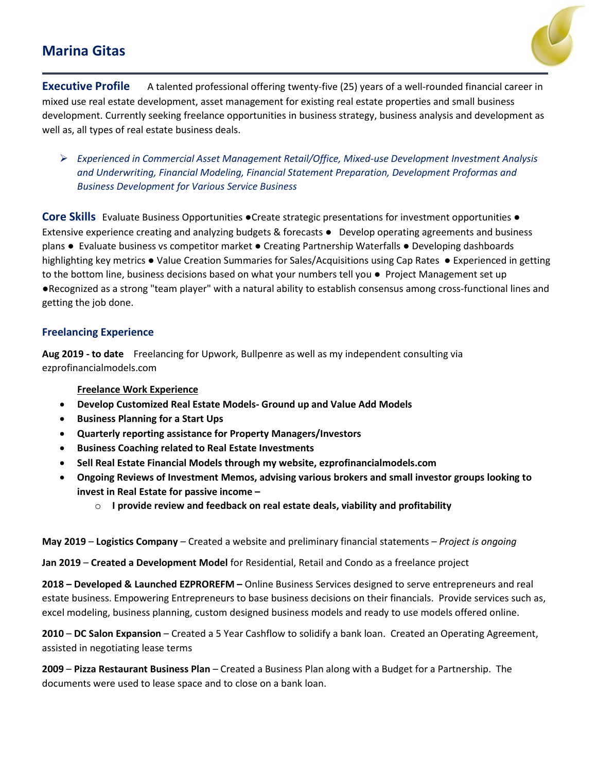# **Marina Gitas**



**Executive Profile** A talented professional offering twenty-five (25) years of a well-rounded financial career in mixed use real estate development, asset management for existing real estate properties and small business development. Currently seeking freelance opportunities in business strategy, business analysis and development as well as, all types of real estate business deals.

 *Experienced in Commercial Asset Management Retail/Office, Mixed-use Development Investment Analysis and Underwriting, Financial Modeling, Financial Statement Preparation, Development Proformas and Business Development for Various Service Business*

**Core Skills** Evaluate Business Opportunities ●Create strategic presentations for investment opportunities ● Extensive experience creating and analyzing budgets & forecasts ● Develop operating agreements and business plans ● Evaluate business vs competitor market ● Creating Partnership Waterfalls ● Developing dashboards highlighting key metrics ● Value Creation Summaries for Sales/Acquisitions using Cap Rates ● Experienced in getting to the bottom line, business decisions based on what your numbers tell you ● Project Management set up ●Recognized as a strong "team player" with a natural ability to establish consensus among cross-functional lines and getting the job done.

## **Freelancing Experience**

**Aug 2019 - to date** Freelancing for Upwork, Bullpenre as well as my independent consulting via ezprofinancialmodels.com

## **Freelance Work Experience**

- **Develop Customized Real Estate Models- Ground up and Value Add Models**
- **Business Planning for a Start Ups**
- **Quarterly reporting assistance for Property Managers/Investors**
- **Business Coaching related to Real Estate Investments**
- **Sell Real Estate Financial Models through my website, ezprofinancialmodels.com**
- **Ongoing Reviews of Investment Memos, advising various brokers and small investor groups looking to invest in Real Estate for passive income –**
	- o **I provide review and feedback on real estate deals, viability and profitability**

**May 2019** – **Logistics Company** – Created a website and preliminary financial statements – *Project is ongoing*

**Jan 2019** – **Created a Development Model** for Residential, Retail and Condo as a freelance project

**2018 – Developed & Launched EZPROREFM –** Online Business Services designed to serve entrepreneurs and real estate business. Empowering Entrepreneurs to base business decisions on their financials. Provide services such as, excel modeling, business planning, custom designed business models and ready to use models offered online.

**2010** – **DC Salon Expansion** – Created a 5 Year Cashflow to solidify a bank loan. Created an Operating Agreement, assisted in negotiating lease terms

**2009** – **Pizza Restaurant Business Plan** – Created a Business Plan along with a Budget for a Partnership. The documents were used to lease space and to close on a bank loan.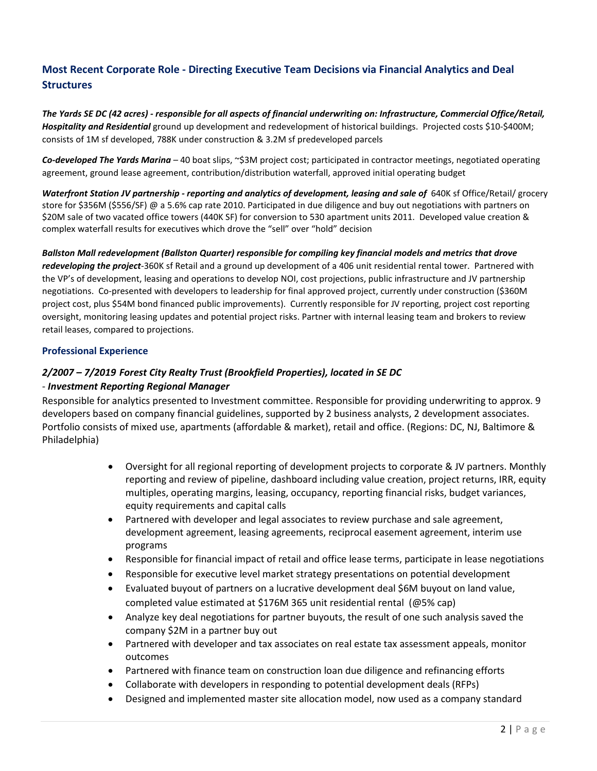## **Most Recent Corporate Role - Directing Executive Team Decisions via Financial Analytics and Deal Structures**

*The Yards SE DC (42 acres) - responsible for all aspects of financial underwriting on: Infrastructure, Commercial Office/Retail, Hospitality and Residential* ground up development and redevelopment of historical buildings. Projected costs \$10-\$400M; consists of 1M sf developed, 788K under construction & 3.2M sf predeveloped parcels

*Co-developed The Yards Marina –* 40 boat slips, ~\$3M project cost; participated in contractor meetings, negotiated operating agreement, ground lease agreement, contribution/distribution waterfall, approved initial operating budget

*Waterfront Station JV partnership - reporting and analytics of development, leasing and sale of* 640K sf Office/Retail/ grocery store for \$356M (\$556/SF) @ a 5.6% cap rate 2010. Participated in due diligence and buy out negotiations with partners on \$20M sale of two vacated office towers (440K SF) for conversion to 530 apartment units 2011. Developed value creation & complex waterfall results for executives which drove the "sell" over "hold" decision

#### *Ballston Mall redevelopment (Ballston Quarter) responsible for compiling key financial models and metrics that drove*

*redeveloping the project*-360K sf Retail and a ground up development of a 406 unit residential rental tower. Partnered with the VP's of development, leasing and operations to develop NOI, cost projections, public infrastructure and JV partnership negotiations. Co-presented with developers to leadership for final approved project, currently under construction (\$360M project cost, plus \$54M bond financed public improvements). Currently responsible for JV reporting, project cost reporting oversight, monitoring leasing updates and potential project risks. Partner with internal leasing team and brokers to review retail leases, compared to projections.

#### **Professional Experience**

## *2/2007 – 7/2019 Forest City Realty Trust (Brookfield Properties), located in SE DC*

#### - *Investment Reporting Regional Manager*

Responsible for analytics presented to Investment committee. Responsible for providing underwriting to approx. 9 developers based on company financial guidelines, supported by 2 business analysts, 2 development associates. Portfolio consists of mixed use, apartments (affordable & market), retail and office. (Regions: DC, NJ, Baltimore & Philadelphia)

- Oversight for all regional reporting of development projects to corporate & JV partners. Monthly reporting and review of pipeline, dashboard including value creation, project returns, IRR, equity multiples, operating margins, leasing, occupancy, reporting financial risks, budget variances, equity requirements and capital calls
- Partnered with developer and legal associates to review purchase and sale agreement, development agreement, leasing agreements, reciprocal easement agreement, interim use programs
- Responsible for financial impact of retail and office lease terms, participate in lease negotiations
- Responsible for executive level market strategy presentations on potential development
- Evaluated buyout of partners on a lucrative development deal \$6M buyout on land value, completed value estimated at \$176M 365 unit residential rental (@5% cap)
- Analyze key deal negotiations for partner buyouts, the result of one such analysis saved the company \$2M in a partner buy out
- Partnered with developer and tax associates on real estate tax assessment appeals, monitor outcomes
- Partnered with finance team on construction loan due diligence and refinancing efforts
- Collaborate with developers in responding to potential development deals (RFPs)
- Designed and implemented master site allocation model, now used as a company standard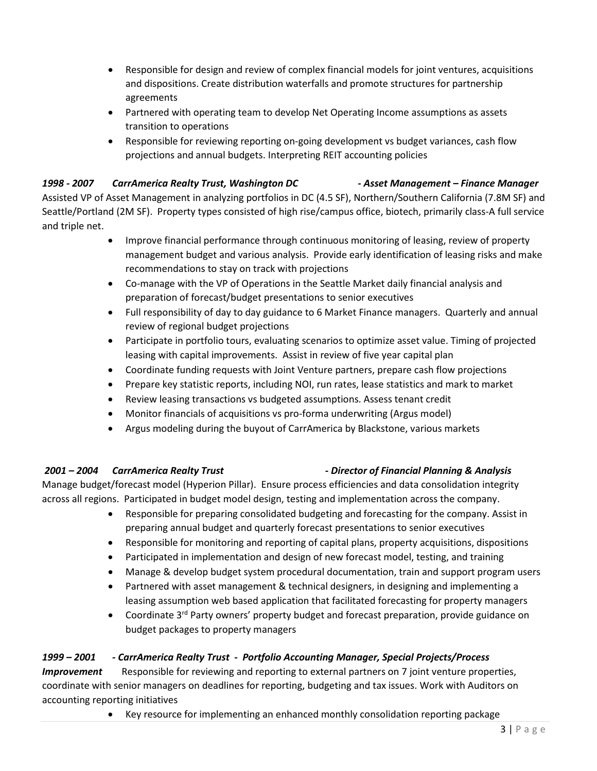- Responsible for design and review of complex financial models for joint ventures, acquisitions and dispositions. Create distribution waterfalls and promote structures for partnership agreements
- Partnered with operating team to develop Net Operating Income assumptions as assets transition to operations
- Responsible for reviewing reporting on-going development vs budget variances, cash flow projections and annual budgets. Interpreting REIT accounting policies

## *1998 - 2007 CarrAmerica Realty Trust, Washington DC - Asset Management – Finance Manager*

Assisted VP of Asset Management in analyzing portfolios in DC (4.5 SF), Northern/Southern California (7.8M SF) and Seattle/Portland (2M SF). Property types consisted of high rise/campus office, biotech, primarily class-A full service and triple net.

- Improve financial performance through continuous monitoring of leasing, review of property management budget and various analysis. Provide early identification of leasing risks and make recommendations to stay on track with projections
- Co-manage with the VP of Operations in the Seattle Market daily financial analysis and preparation of forecast/budget presentations to senior executives
- Full responsibility of day to day guidance to 6 Market Finance managers. Quarterly and annual review of regional budget projections
- Participate in portfolio tours, evaluating scenarios to optimize asset value. Timing of projected leasing with capital improvements. Assist in review of five year capital plan
- Coordinate funding requests with Joint Venture partners, prepare cash flow projections
- Prepare key statistic reports, including NOI, run rates, lease statistics and mark to market
- Review leasing transactions vs budgeted assumptions. Assess tenant credit
- Monitor financials of acquisitions vs pro-forma underwriting (Argus model)
- Argus modeling during the buyout of CarrAmerica by Blackstone, various markets

## *2001 – 2004 CarrAmerica Realty Trust - Director of Financial Planning & Analysis*

Manage budget/forecast model (Hyperion Pillar). Ensure process efficiencies and data consolidation integrity across all regions. Participated in budget model design, testing and implementation across the company.

- Responsible for preparing consolidated budgeting and forecasting for the company. Assist in preparing annual budget and quarterly forecast presentations to senior executives
- Responsible for monitoring and reporting of capital plans, property acquisitions, dispositions
- Participated in implementation and design of new forecast model, testing, and training
- Manage & develop budget system procedural documentation, train and support program users
- Partnered with asset management & technical designers, in designing and implementing a leasing assumption web based application that facilitated forecasting for property managers
- Coordinate  $3<sup>rd</sup>$  Party owners' property budget and forecast preparation, provide guidance on budget packages to property managers

## *1999 – 2001 - CarrAmerica Realty Trust - Portfolio Accounting Manager, Special Projects/Process*

*Improvement* Responsible for reviewing and reporting to external partners on 7 joint venture properties, coordinate with senior managers on deadlines for reporting, budgeting and tax issues. Work with Auditors on accounting reporting initiatives

• Key resource for implementing an enhanced monthly consolidation reporting package